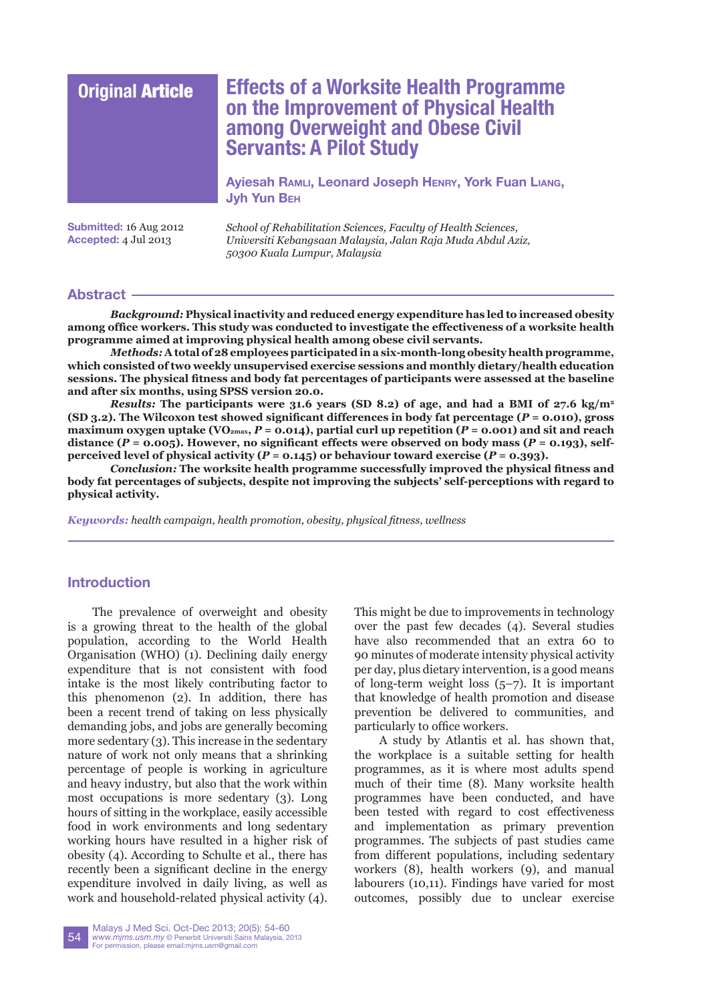# **Original** Article **Effects of a Worksite Health Programme on the Improvement of Physical Health among Overweight and Obese Civil Servants: A Pilot Study**

**[Ayiesah](mailto:kamalia086%40gmail.com?subject=) Ramli, Leonard Joseph Henry, York Fuan Liang, Jyh Yun Beh**

**Submitted:** 16 Aug 2012 **Accepted:** 4 Jul 2013

*School of Rehabilitation Sciences, Faculty of Health Sciences, Universiti Kebangsaan Malaysia, Jalan Raja Muda Abdul Aziz, 50300 Kuala Lumpur, Malaysia*

## **Abstract**

*Background:* **Physical inactivity and reduced energy expenditure has led to increased obesity among office workers. This study was conducted to investigate the effectiveness of a worksite health programme aimed at improving physical health among obese civil servants.**

*Methods:* **A total of 28 employees participated in a six-month-long obesity health programme, which consisted of two weekly unsupervised exercise sessions and monthly dietary/health education sessions. The physical fitness and body fat percentages of participants were assessed at the baseline and after six months, using SPSS version 20.0.**

*Results:* **The participants were 31.6 years (SD 8.2) of age, and had a BMI of 27.6 kg/m<sup>2</sup> (SD 3.2). The Wilcoxon test showed significant differences in body fat percentage (***P* **= 0.010), gross maximum oxygen uptake (VO2max,** *P* **= 0.014), partial curl up repetition (***P* **= 0.001) and sit and reach**  distance ( $P = 0.005$ ). However, no significant effects were observed on body mass ( $P = 0.193$ ), self**perceived level of physical activity (** $P = 0.145$ **) or behaviour toward exercise (** $P = 0.393$ **).** 

*Conclusion:* **The worksite health programme successfully improved the physical fitness and body fat percentages of subjects, despite not improving the subjects' self-perceptions with regard to physical activity.**

*Keywords: health campaign, health promotion, obesity, physical fitness, wellness*

## **Introduction**

The prevalence of overweight and obesity is a growing threat to the health of the global population, according to the World Health Organisation (WHO) (1). Declining daily energy expenditure that is not consistent with food intake is the most likely contributing factor to this phenomenon (2). In addition, there has been a recent trend of taking on less physically demanding jobs, and jobs are generally becoming more sedentary (3). This increase in the sedentary nature of work not only means that a shrinking percentage of people is working in agriculture and heavy industry, but also that the work within most occupations is more sedentary (3). Long hours of sitting in the workplace, easily accessible food in work environments and long sedentary working hours have resulted in a higher risk of obesity (4). According to Schulte et al., there has recently been a significant decline in the energy expenditure involved in daily living, as well as work and household-related physical activity (4). This might be due to improvements in technology over the past few decades (4). Several studies have also recommended that an extra 60 to 90 minutes of moderate intensity physical activity per day, plus dietary intervention, is a good means of long-term weight loss (5–7). It is important that knowledge of health promotion and disease prevention be delivered to communities, and particularly to office workers.

A study by Atlantis et al. has shown that, the workplace is a suitable setting for health programmes, as it is where most adults spend much of their time (8). Many worksite health programmes have been conducted, and have been tested with regard to cost effectiveness and implementation as primary prevention programmes. The subjects of past studies came from different populations, including sedentary workers (8), health workers (9), and manual labourers (10,11). Findings have varied for most outcomes, possibly due to unclear exercise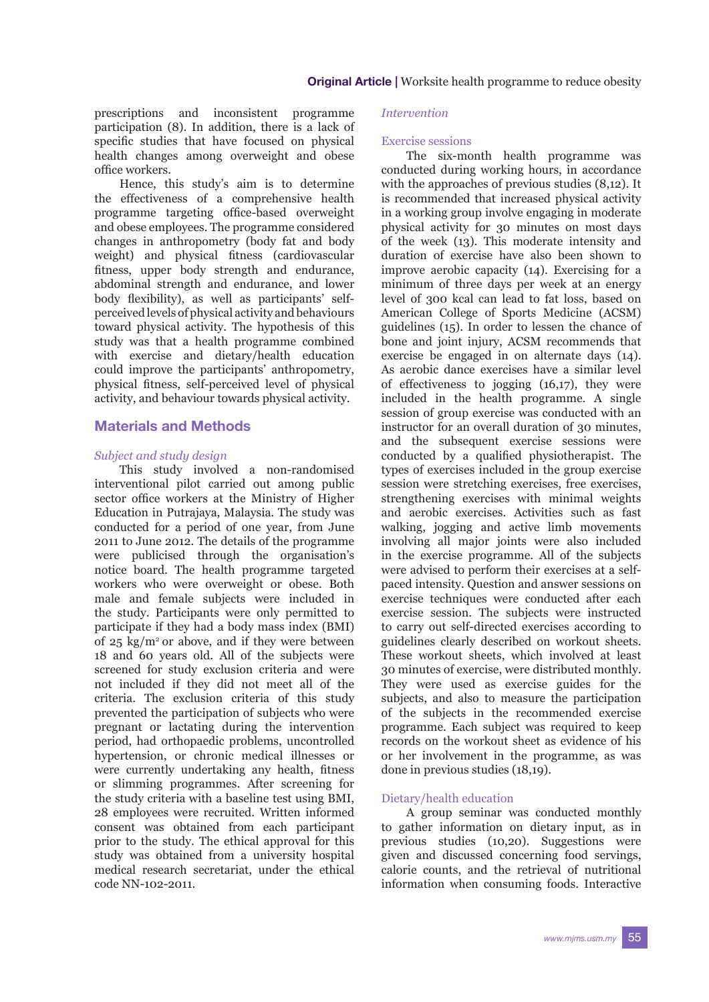prescriptions and inconsistent programme participation (8). In addition, there is a lack of specific studies that have focused on physical health changes among overweight and obese office workers.

Hence, this study's aim is to determine the effectiveness of a comprehensive health programme targeting office-based overweight and obese employees. The programme considered changes in anthropometry (body fat and body weight) and physical fitness (cardiovascular fitness, upper body strength and endurance, abdominal strength and endurance, and lower body flexibility), as well as participants' selfperceived levels of physical activity and behaviours toward physical activity. The hypothesis of this study was that a health programme combined with exercise and dietary/health education could improve the participants' anthropometry, physical fitness, self-perceived level of physical activity, and behaviour towards physical activity.

## **Materials and Methods**

#### *Subject and study design*

This study involved a non-randomised interventional pilot carried out among public sector office workers at the Ministry of Higher Education in Putrajaya, Malaysia. The study was conducted for a period of one year, from June 2011 to June 2012. The details of the programme were publicised through the organisation's notice board. The health programme targeted workers who were overweight or obese. Both male and female subjects were included in the study. Participants were only permitted to participate if they had a body mass index (BMI) of  $25 \text{ kg/m}^2$  or above, and if they were between 18 and 60 years old. All of the subjects were screened for study exclusion criteria and were not included if they did not meet all of the criteria. The exclusion criteria of this study prevented the participation of subjects who were pregnant or lactating during the intervention period, had orthopaedic problems, uncontrolled hypertension, or chronic medical illnesses or were currently undertaking any health, fitness or slimming programmes. After screening for the study criteria with a baseline test using BMI, 28 employees were recruited. Written informed consent was obtained from each participant prior to the study. The ethical approval for this study was obtained from a university hospital medical research secretariat, under the ethical code NN-102-2011.

#### *Intervention*

#### Exercise sessions

The six-month health programme was conducted during working hours, in accordance with the approaches of previous studies (8,12). It is recommended that increased physical activity in a working group involve engaging in moderate physical activity for 30 minutes on most days of the week (13). This moderate intensity and duration of exercise have also been shown to improve aerobic capacity (14). Exercising for a minimum of three days per week at an energy level of 300 kcal can lead to fat loss, based on American College of Sports Medicine (ACSM) guidelines (15). In order to lessen the chance of bone and joint injury, ACSM recommends that exercise be engaged in on alternate days (14). As aerobic dance exercises have a similar level of effectiveness to jogging (16,17), they were included in the health programme. A single session of group exercise was conducted with an instructor for an overall duration of 30 minutes, and the subsequent exercise sessions were conducted by a qualified physiotherapist. The types of exercises included in the group exercise session were stretching exercises, free exercises, strengthening exercises with minimal weights and aerobic exercises. Activities such as fast walking, jogging and active limb movements involving all major joints were also included in the exercise programme. All of the subjects were advised to perform their exercises at a selfpaced intensity. Question and answer sessions on exercise techniques were conducted after each exercise session. The subjects were instructed to carry out self-directed exercises according to guidelines clearly described on workout sheets. These workout sheets, which involved at least 30 minutes of exercise, were distributed monthly. They were used as exercise guides for the subjects, and also to measure the participation of the subjects in the recommended exercise programme. Each subject was required to keep records on the workout sheet as evidence of his or her involvement in the programme, as was done in previous studies (18,19).

### Dietary/health education

A group seminar was conducted monthly to gather information on dietary input, as in previous studies (10,20). Suggestions were given and discussed concerning food servings, calorie counts, and the retrieval of nutritional information when consuming foods. Interactive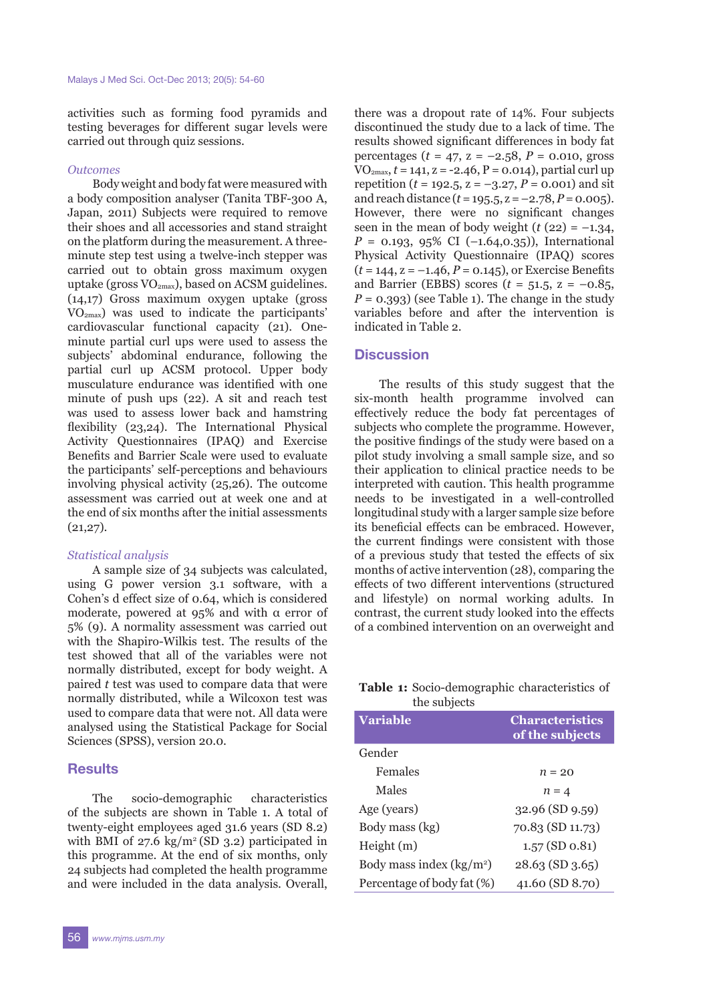activities such as forming food pyramids and testing beverages for different sugar levels were carried out through quiz sessions.

#### *Outcomes*

Body weight and body fat were measured with a body composition analyser (Tanita TBF-300 A, Japan, 2011) Subjects were required to remove their shoes and all accessories and stand straight on the platform during the measurement. A threeminute step test using a twelve-inch stepper was carried out to obtain gross maximum oxygen uptake (gross  $VO_{2max}$ ), based on ACSM guidelines. (14,17) Gross maximum oxygen uptake (gross VO2max) was used to indicate the participants' cardiovascular functional capacity (21). Oneminute partial curl ups were used to assess the subjects' abdominal endurance, following the partial curl up ACSM protocol. Upper body musculature endurance was identified with one minute of push ups (22). A sit and reach test was used to assess lower back and hamstring flexibility (23,24). The International Physical Activity Questionnaires (IPAQ) and Exercise Benefits and Barrier Scale were used to evaluate the participants' self-perceptions and behaviours involving physical activity (25,26). The outcome assessment was carried out at week one and at the end of six months after the initial assessments  $(21,27)$ .

#### *Statistical analysis*

A sample size of 34 subjects was calculated, using G power version 3.1 software, with a Cohen's d effect size of 0.64, which is considered moderate, powered at  $95\%$  and with  $\alpha$  error of 5% (9). A normality assessment was carried out with the Shapiro-Wilkis test. The results of the test showed that all of the variables were not normally distributed, except for body weight. A paired *t* test was used to compare data that were normally distributed, while a Wilcoxon test was used to compare data that were not. All data were analysed using the Statistical Package for Social Sciences (SPSS), version 20.0.

#### **Results**

The socio-demographic characteristics of the subjects are shown in Table 1. A total of twenty-eight employees aged 31.6 years (SD 8.2) with BMI of  $27.6 \text{ kg/m}^2 \text{ (SD 3.2)}$  participated in this programme. At the end of six months, only 24 subjects had completed the health programme and were included in the data analysis. Overall,

there was a dropout rate of 14%. Four subjects discontinued the study due to a lack of time. The results showed significant differences in body fat percentages (*t* = 47, z = –2.58, *P* = 0.010, gross  $VO_{2max}$ ,  $t = 141$ ,  $z = -2.46$ ,  $P = 0.014$ ), partial curl up repetition ( $t = 192.5$ ,  $z = -3.27$ ,  $P = 0.001$ ) and sit and reach distance  $(t = 195.5, z = -2.78, P = 0.005)$ . However, there were no significant changes seen in the mean of body weight  $(t (22) = -1.34,$  $P = 0.193, 95\% \text{ CI } (-1.64, 0.35)$ , International Physical Activity Questionnaire (IPAQ) scores  $(t = 144, z = -1.46, P = 0.145)$ , or Exercise Benefits and Barrier (EBBS) scores  $(t = 51.5, z = -0.85,$  $P = 0.393$ ) (see Table 1). The change in the study variables before and after the intervention is indicated in Table 2.

### **Discussion**

The results of this study suggest that the six-month health programme involved can effectively reduce the body fat percentages of subjects who complete the programme. However, the positive findings of the study were based on a pilot study involving a small sample size, and so their application to clinical practice needs to be interpreted with caution. This health programme needs to be investigated in a well-controlled longitudinal study with a larger sample size before its beneficial effects can be embraced. However, the current findings were consistent with those of a previous study that tested the effects of six months of active intervention (28), comparing the effects of two different interventions (structured and lifestyle) on normal working adults. In contrast, the current study looked into the effects of a combined intervention on an overweight and

### **Table 1:** Socio-demographic characteristics of the subjects

| <b>Variable</b>            | <b>Characteristics</b><br>of the subjects |
|----------------------------|-------------------------------------------|
| Gender                     |                                           |
| Females                    | $n = 20$                                  |
| Males                      | $n = 4$                                   |
| Age (years)                | $32.96$ (SD 9.59)                         |
| Body mass (kg)             | 70.83 (SD 11.73)                          |
| Height(m)                  | $1.57$ (SD $0.81$ )                       |
| Body mass index $(kg/m2)$  | $28.63$ (SD 3.65)                         |
| Percentage of body fat (%) | 41.60 (SD 8.70)                           |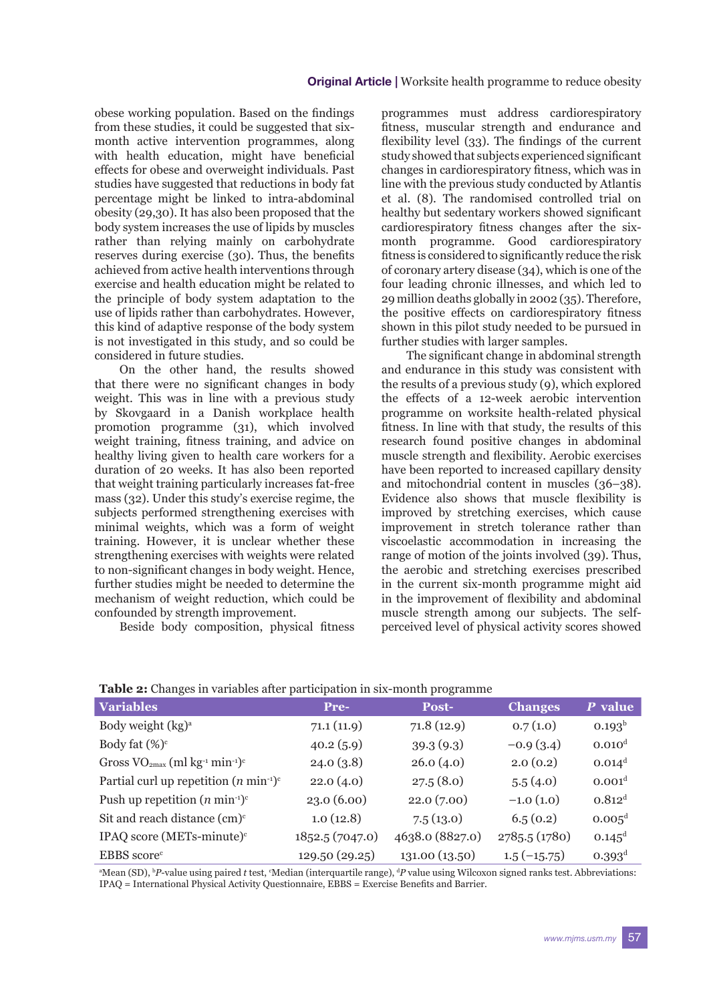obese working population. Based on the findings from these studies, it could be suggested that sixmonth active intervention programmes, along with health education, might have beneficial effects for obese and overweight individuals. Past studies have suggested that reductions in body fat percentage might be linked to intra-abdominal obesity (29,30). It has also been proposed that the body system increases the use of lipids by muscles rather than relying mainly on carbohydrate reserves during exercise (30). Thus, the benefits achieved from active health interventions through exercise and health education might be related to the principle of body system adaptation to the use of lipids rather than carbohydrates. However, this kind of adaptive response of the body system is not investigated in this study, and so could be considered in future studies.

On the other hand, the results showed that there were no significant changes in body weight. This was in line with a previous study by Skovgaard in a Danish workplace health promotion programme (31), which involved weight training, fitness training, and advice on healthy living given to health care workers for a duration of 20 weeks. It has also been reported that weight training particularly increases fat-free mass (32). Under this study's exercise regime, the subjects performed strengthening exercises with minimal weights, which was a form of weight training. However, it is unclear whether these strengthening exercises with weights were related to non-significant changes in body weight. Hence, further studies might be needed to determine the mechanism of weight reduction, which could be confounded by strength improvement.

Beside body composition, physical fitness

programmes must address cardiorespiratory fitness, muscular strength and endurance and flexibility level (33). The findings of the current study showed that subjects experienced significant changes in cardiorespiratory fitness, which was in line with the previous study conducted by Atlantis et al. (8). The randomised controlled trial on healthy but sedentary workers showed significant cardiorespiratory fitness changes after the sixmonth programme. Good cardiorespiratory fitness is considered to significantly reduce the risk of coronary artery disease (34), which is one of the four leading chronic illnesses, and which led to 29 million deaths globally in 2002 (35). Therefore, the positive effects on cardiorespiratory fitness shown in this pilot study needed to be pursued in further studies with larger samples.

The significant change in abdominal strength and endurance in this study was consistent with the results of a previous study (9), which explored the effects of a 12-week aerobic intervention programme on worksite health-related physical fitness. In line with that study, the results of this research found positive changes in abdominal muscle strength and flexibility. Aerobic exercises have been reported to increased capillary density and mitochondrial content in muscles (36–38). Evidence also shows that muscle flexibility is improved by stretching exercises, which cause improvement in stretch tolerance rather than viscoelastic accommodation in increasing the range of motion of the joints involved (39). Thus, the aerobic and stretching exercises prescribed in the current six-month programme might aid in the improvement of flexibility and abdominal muscle strength among our subjects. The selfperceived level of physical activity scores showed

| <b>Variables</b>                                                        | <b>Pre-</b>     | Post-           | <b>Changes</b> | P value              |  |
|-------------------------------------------------------------------------|-----------------|-----------------|----------------|----------------------|--|
| Body weight (kg) <sup>a</sup>                                           | 71.1(11.9)      | 71.8(12.9)      | 0.7(1.0)       | $0.193^{b}$          |  |
| Body fat $(\%)^c$                                                       | 40.2(5.9)       | 39.3(9.3)       | $-0.9(3.4)$    | 0.010 <sup>d</sup>   |  |
| Gross $VO_{2max}$ (ml kg <sup>-1</sup> min <sup>-1</sup> ) <sup>c</sup> | 24.0(3.8)       | 26.0(4.0)       | 2.0(0.2)       | $0.014^d$            |  |
| Partial curl up repetition $(n \min^{-1})^c$                            | 22.0(4.0)       | 27.5(8.0)       | 5.5(4.0)       | 0.001 <sup>d</sup>   |  |
| Push up repetition $(n \min^{-1})^c$                                    | 23.0(6.00)      | 22.0(7.00)      | $-1.0(1.0)$    | $0.812$ <sup>d</sup> |  |
| Sit and reach distance $(cm)^c$                                         | 1.0(12.8)       | 7.5(13.0)       | 6.5(0.2)       | $0.005^d$            |  |
| IPAQ score (METs-minute) <sup>c</sup>                                   | 1852.5 (7047.0) | 4638.0 (8827.0) | 2785.5 (1780)  | $0.145^d$            |  |
| EBBS score <sup>c</sup>                                                 | 129.50 (29.25)  | 131.00 (13.50)  | $1.5(-15.75)$  | $0.393^d$            |  |

**Table 2:** Changes in variables after participation in six-month programme

<sup>a</sup>Mean (SD), <sup>b</sup>P-value using paired *t* test, <sup>c</sup>Median (interquartile range), <sup>d</sup>P value using Wilcoxon signed ranks test. Abbreviations: IPAQ = International Physical Activity Questionnaire, EBBS = Exercise Benefits and Barrier.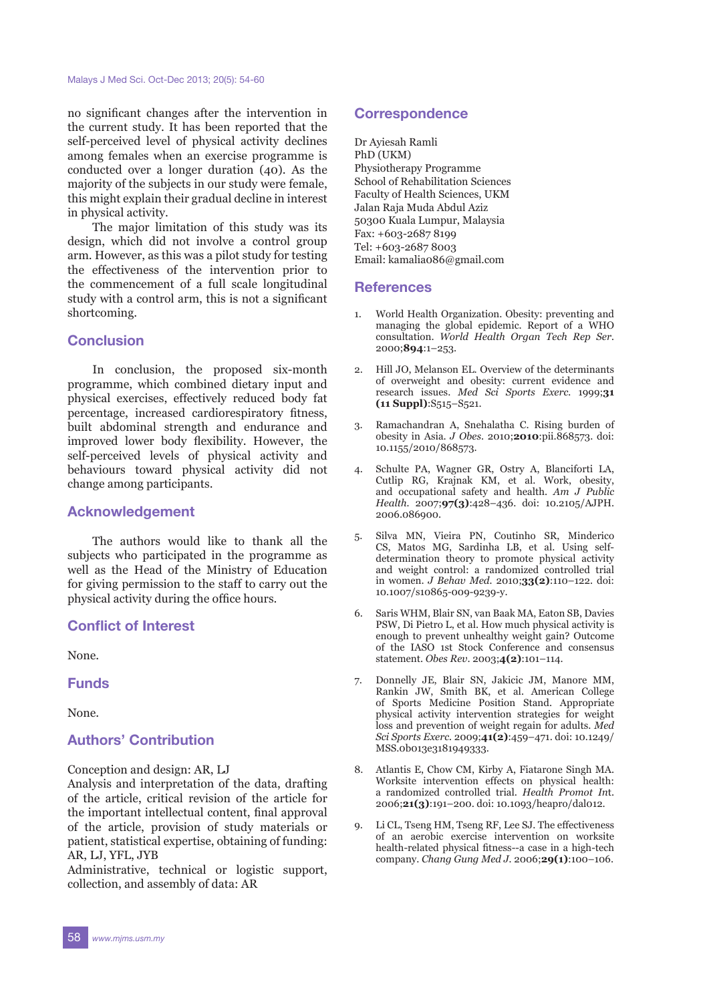no significant changes after the intervention in the current study. It has been reported that the self-perceived level of physical activity declines among females when an exercise programme is conducted over a longer duration (40). As the majority of the subjects in our study were female, this might explain their gradual decline in interest in physical activity.

The major limitation of this study was its design, which did not involve a control group arm. However, as this was a pilot study for testing the effectiveness of the intervention prior to the commencement of a full scale longitudinal study with a control arm, this is not a significant shortcoming.

## **Conclusion**

In conclusion, the proposed six-month programme, which combined dietary input and physical exercises, effectively reduced body fat percentage, increased cardiorespiratory fitness, built abdominal strength and endurance and improved lower body flexibility. However, the self-perceived levels of physical activity and behaviours toward physical activity did not change among participants.

### **Acknowledgement**

The authors would like to thank all the subjects who participated in the programme as well as the Head of the Ministry of Education for giving permission to the staff to carry out the physical activity during the office hours.

## **Conflict of Interest**

None.

**Funds**

None.

## **Authors' Contribution**

Conception and design: AR, LJ

Analysis and interpretation of the data, drafting of the article, critical revision of the article for the important intellectual content, final approval of the article, provision of study materials or patient, statistical expertise, obtaining of funding: AR, LJ, YFL, JYB

Administrative, technical or logistic support, collection, and assembly of data: AR

## **Correspondence**

Dr Ayiesah Ramli PhD (UKM) Physiotherapy Programme School of Rehabilitation Sciences Faculty of Health Sciences, UKM Jalan Raja Muda Abdul Aziz 50300 Kuala Lumpur, Malaysia Fax: +603-2687 8199 Tel: +603-2687 8003 Email: kamalia086@gmail.com

## **References**

- 1. World Health Organization. Obesity: preventing and managing the global epidemic. Report of a WHO consultation. *World Health Organ Tech Rep Ser.*  2000;**894**:1–253.
- 2. Hill JO, Melanson EL. Overview of the determinants of overweight and obesity: current evidence and research issues. *Med Sci Sports Exerc.* 1999;**31 (11 Suppl)**:S515–S521.
- 3. Ramachandran A, Snehalatha C. Rising burden of obesity in Asia. *J Obes*. 2010;**2010**:pii.868573. doi: 10.1155/2010/868573.
- 4. Schulte PA, Wagner GR, Ostry A, Blanciforti LA, Cutlip RG, Krajnak KM, et al. Work, obesity, and occupational safety and health. *Am J Public Health.* 2007;**97(3)**:428–436. doi: 10.2105/AJPH. 2006.086900.
- 5. Silva MN, Vieira PN, Coutinho SR, Minderico CS, Matos MG, Sardinha LB, et al. Using selfdetermination theory to promote physical activity and weight control: a randomized controlled trial in women. *J Behav Med.* 2010;**33(2)**:110–122. doi: 10.1007/s10865-009-9239-y.
- 6. Saris WHM, Blair SN, van Baak MA, Eaton SB, Davies PSW, Di Pietro L, et al. How much physical activity is enough to prevent unhealthy weight gain? Outcome of the IASO 1st Stock Conference and consensus statement. *Obes Rev*. 2003;**4(2)**:101–114.
- 7. Donnelly JE, Blair SN, Jakicic JM, Manore MM, Rankin JW, Smith BK, et al. American College of Sports Medicine Position Stand. Appropriate physical activity intervention strategies for weight loss and prevention of weight regain for adults. *Med Sci Sports Exerc.* 2009;**41(2)**:459–471. doi: 10.1249/ MSS.0b013e3181949333.
- 8. Atlantis E, Chow CM, Kirby A, Fiatarone Singh MA. Worksite intervention effects on physical health: a randomized controlled trial. *Health Promot In*t. 2006;**21(3)**:191–200. doi: 10.1093/heapro/dal012.
- 9. Li CL, Tseng HM, Tseng RF, Lee SJ. The effectiveness of an aerobic exercise intervention on worksite health-related physical fitness--a case in a high-tech company. *Chang Gung Med J.* 2006;**29(1)**:100–106.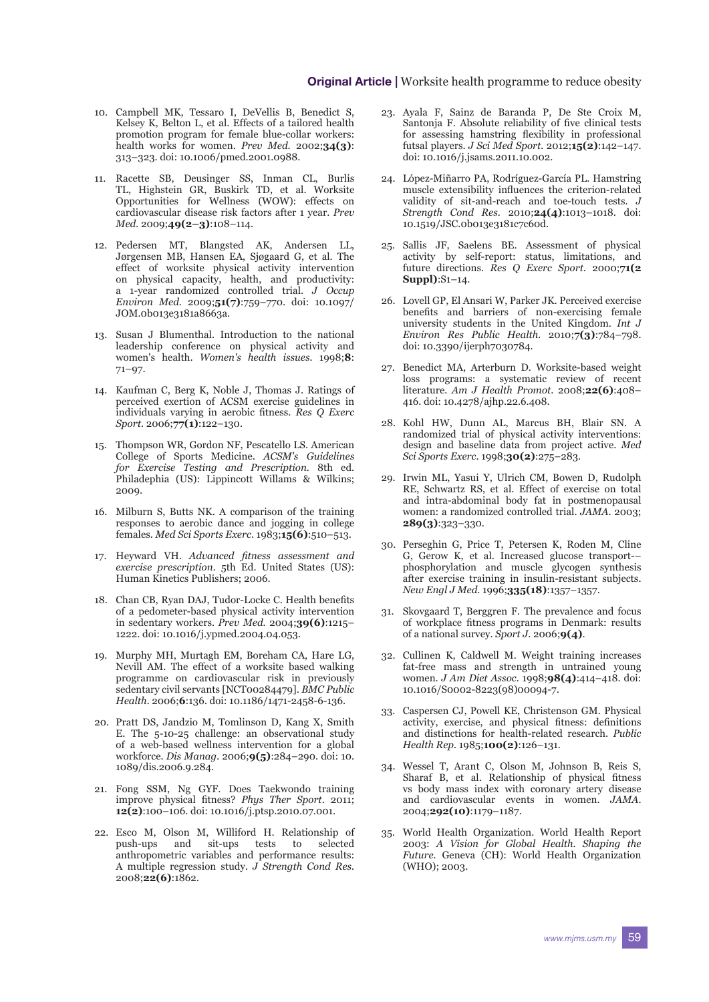- 10. Campbell MK, Tessaro I, DeVellis B, Benedict S, Kelsey K, Belton L, et al. Effects of a tailored health promotion program for female blue-collar workers: health works for women. *Prev Med.* 2002;**34(3)**: 313–323. doi: 10.1006/pmed.2001.0988.
- 11. Racette SB, Deusinger SS, Inman CL, Burlis TL, Highstein GR, Buskirk TD, et al. Worksite Opportunities for Wellness (WOW): effects on cardiovascular disease risk factors after 1 year. *Prev Med.* 2009;**49(2–3)**:108–114.
- 12. Pedersen MT, Blangsted AK, Andersen LL, Jørgensen MB, Hansen EA, Sjøgaard G, et al. The effect of worksite physical activity intervention on physical capacity, health, and productivity: a 1-year randomized controlled trial. *J Occup Environ Med.* 2009;**51(7)**:759–770. doi: 10.1097/ JOM.0b013e3181a8663a.
- 13. Susan J Blumenthal. Introduction to the national leadership conference on physical activity and women's health. *Women's health issues.* 1998;**8**: 71–97.
- 14. Kaufman C, Berg K, Noble J, Thomas J. Ratings of perceived exertion of ACSM exercise guidelines in individuals varying in aerobic fitness. *Res Q Exerc Sport.* 2006;**77(1)**:122–130.
- 15. Thompson WR, Gordon NF, Pescatello LS. American College of Sports Medicine. *ACSM's Guidelines for Exercise Testing and Prescription.* 8th ed. Philadephia (US): Lippincott Willams & Wilkins; 2009.
- 16. Milburn S, Butts NK. A comparison of the training responses to aerobic dance and jogging in college females. *Med Sci Sports Exerc*. 1983;**15(6)**:510–513.
- 17. Heyward VH. *Advanced fitness assessment and exercise prescription.* 5th Ed. United States (US): Human Kinetics Publishers; 2006.
- 18. Chan CB, Ryan DAJ, Tudor-Locke C. Health benefits of a pedometer-based physical activity intervention in sedentary workers. *Prev Med.* 2004;**39(6)**:1215– 1222. doi: 10.1016/j.ypmed.2004.04.053.
- 19. Murphy MH, Murtagh EM, Boreham CA, Hare LG, Nevill AM. The effect of a worksite based walking programme on cardiovascular risk in previously sedentary civil servants [NCT00284479]. *BMC Public Health.* 2006;**6**:136. doi: 10.1186/1471-2458-6-136.
- 20. Pratt DS, Jandzio M, Tomlinson D, Kang X, Smith E. The 5-10-25 challenge: an observational study of a web-based wellness intervention for a global workforce. *Dis Manag.* 2006;**9(5)**:284–290. doi: 10. 1089/dis.2006.9.284.
- 21. Fong SSM, Ng GYF. Does Taekwondo training improve physical fitness? *Phys Ther Sport*. 2011; **12(2)**:100–106. doi: 10.1016/j.ptsp.2010.07.001.
- 22. Esco M, Olson M, Williford H. Relationship of push-ups and sit-ups tests to selected anthropometric variables and performance results: A multiple regression study. *J Strength Cond Res.* 2008;**22(6)**:1862.
- 23. Ayala F, Sainz de Baranda P, De Ste Croix M, Santonja F. Absolute reliability of five clinical tests for assessing hamstring flexibility in professional futsal players. *J Sci Med Sport.* 2012;**15(2)**:142–147. doi: 10.1016/j.jsams.2011.10.002.
- 24. López-Miñarro PA, Rodríguez-García PL. Hamstring muscle extensibility influences the criterion-related validity of sit-and-reach and toe-touch tests. *J Strength Cond Res.* 2010;**24(4)**:1013–1018. doi: 10.1519/JSC.0b013e3181c7c60d.
- 25. Sallis JF, Saelens BE. Assessment of physical activity by self-report: status, limitations, and future directions. *Res Q Exerc Sport.* 2000;**71(2 Suppl)**:S1–14.
- 26. Lovell GP, El Ansari W, Parker JK. Perceived exercise benefits and barriers of non-exercising female university students in the United Kingdom. *Int J Environ Res Public Health.* 2010;**7(3)**:784–798. doi: 10.3390/ijerph7030784.
- 27. Benedict MA, Arterburn D. Worksite-based weight loss programs: a systematic review of recent literature. *Am J Health Promot*. 2008;**22(6)**:408– 416. doi: 10.4278/ajhp.22.6.408.
- 28. Kohl HW, Dunn AL, Marcus BH, Blair SN. A randomized trial of physical activity interventions: design and baseline data from project active. *Med Sci Sports Exerc*. 1998;**30(2)**:275–283.
- 29. Irwin ML, Yasui Y, Ulrich CM, Bowen D, Rudolph RE, Schwartz RS, et al. Effect of exercise on total and intra-abdominal body fat in postmenopausal women: a randomized controlled trial. *JAMA*. 2003; **289(3)**:323–330.
- 30. Perseghin G, Price T, Petersen K, Roden M, Cline G, Gerow K, et al. Increased glucose transport-– phosphorylation and muscle glycogen synthesis after exercise training in insulin-resistant subjects. *New Engl J Med.* 1996;**335(18)**:1357–1357.
- 31. Skovgaard T, Berggren F. The prevalence and focus of workplace fitness programs in Denmark: results of a national survey. *Sport J*. 2006;**9(4)**.
- 32. Cullinen K, Caldwell M. Weight training increases fat-free mass and strength in untrained young women. *J Am Diet Assoc.* 1998;**98(4)**:414–418. doi: 10.1016/S0002-8223(98)00094-7.
- 33. Caspersen CJ, Powell KE, Christenson GM. Physical activity, exercise, and physical fitness: definitions and distinctions for health-related research. *Public Health Rep.* 1985;**100(2)**:126–131.
- 34. Wessel T, Arant C, Olson M, Johnson B, Reis S, Sharaf B, et al. Relationship of physical fitness vs body mass index with coronary artery disease and cardiovascular events in women. *JAMA*. 2004;**292(10)**:1179–1187.
- 35. World Health Organization. World Health Report 2003: *A Vision for Global Health. Shaping the Future.* Geneva (CH): World Health Organization (WHO); 2003.